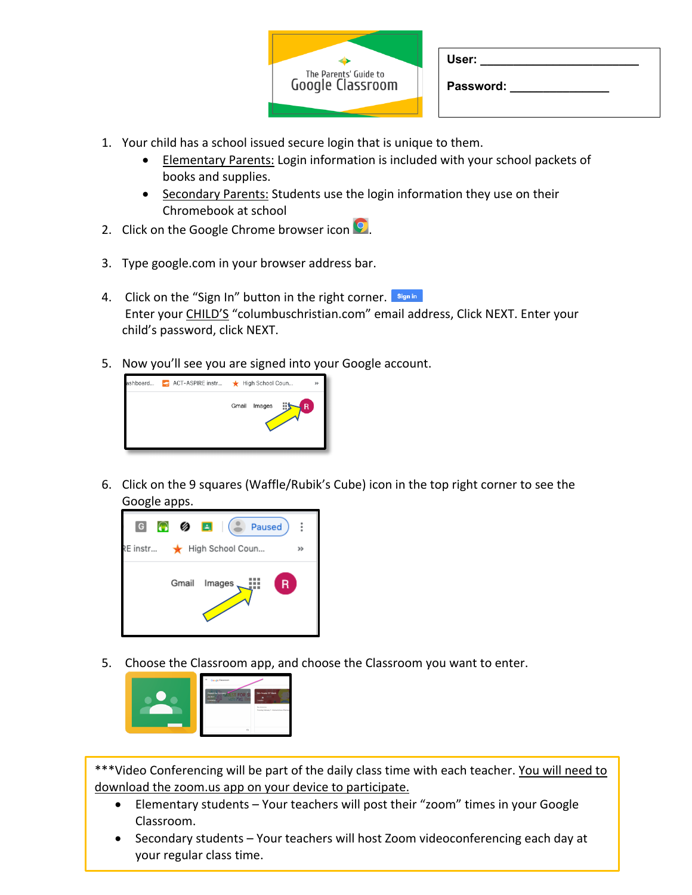| The Parents' Guide to<br><b>Google Classroom</b> |
|--------------------------------------------------|
|                                                  |

| User: |  |  |  |
|-------|--|--|--|
|       |  |  |  |

**Password: \_\_\_\_\_\_\_\_\_\_\_\_\_\_\_**

- 1. Your child has a school issued secure login that is unique to them.
	- Elementary Parents: Login information is included with your school packets of books and supplies.
	- Secondary Parents: Students use the login information they use on their Chromebook at school
- 2. Click on the Google Chrome browser icon  $\mathbf{\Omega}$ .
- 3. Type google.com in your browser address bar.
- 4. Click on the "Sign In" button in the right corner. Sign in Enter your CHILD'S "columbuschristian.com" email address, Click NEXT. Enter your child's password, click NEXT.
- 5. Now you'll see you are signed into your Google account.



6. Click on the 9 squares (Waffle/Rubik's Cube) icon in the top right corner to see the Google apps.



5. Choose the Classroom app, and choose the Classroom you want to enter.



\*\*\*Video Conferencing will be part of the daily class time with each teacher. You will need to download the zoom.us app on your device to participate.

- Elementary students Your teachers will post their "zoom" times in your Google Classroom.
- Secondary students Your teachers will host Zoom videoconferencing each day at your regular class time.